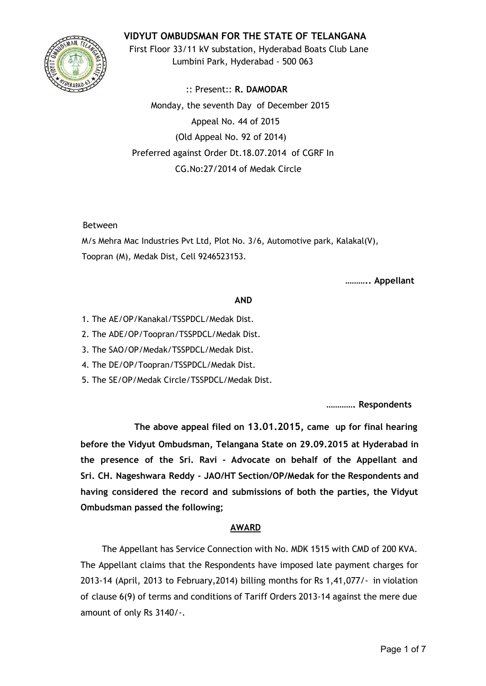# **VIDYUT OMBUDSMAN FOR THE STATE OF TELANGANA**



First Floor 33/11 kV substation, Hyderabad Boats Club Lane Lumbini Park, Hyderabad - 500 063

:: Present:: **R. DAMODAR** Monday, the seventh Day of December 2015 Appeal No. 44 of 2015 (Old Appeal No. 92 of 2014) Preferred against Order Dt.18.07.2014 of CGRF In CG.No:27/2014 of Medak Circle

### Between

M/s Mehra Mac Industries Pvt Ltd, Plot No. 3/6, Automotive park, Kalakal(V), Toopran (M), Medak Dist, Cell 9246523153.

**……….. Appellant**

### **AND**

- 1. The AE/OP/Kanakal/TSSPDCL/Medak Dist.
- 2. The ADE/OP/Toopran/TSSPDCL/Medak Dist.
- 3. The SAO/OP/Medak/TSSPDCL/Medak Dist.
- 4. The DE/OP/Toopran/TSSPDCL/Medak Dist.
- 5. The SE/OP/Medak Circle/TSSPDCL/Medak Dist.

**…………. Respondents**

**The above appeal filed on 13.01.2015, came up for final hearing before the Vidyut Ombudsman, Telangana State on 29.09.2015 at Hyderabad in the presence of the Sri. Ravi - Advocate on behalf of the Appellant and Sri. CH. Nageshwara Reddy - JAO/HT Section/OP/Medak for the Respondents and having considered the record and submissions of both the parties, the Vidyut Ombudsman passed the following;**

## **AWARD**

The Appellant has Service Connection with No. MDK 1515 with CMD of 200 KVA. The Appellant claims that the Respondents have imposed late payment charges for 2013-14 (April, 2013 to February,2014) billing months for Rs 1,41,077/- in violation of clause 6(9) of terms and conditions of Tariff Orders 2013-14 against the mere due amount of only Rs 3140/-.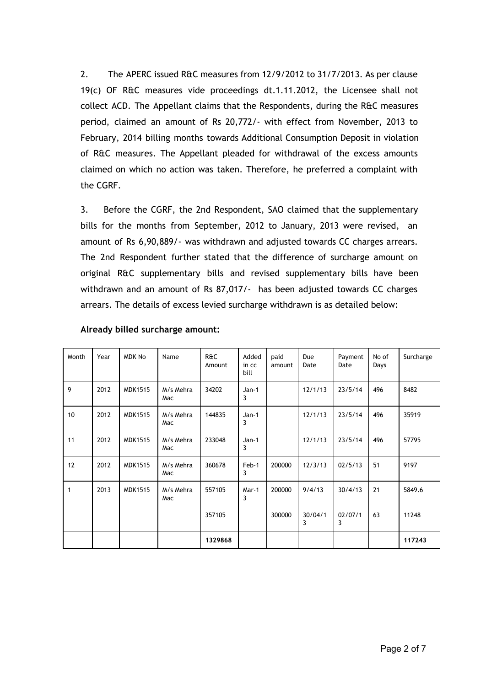2. The APERC issued R&C measures from 12/9/2012 to 31/7/2013. As per clause 19(c) OF R&C measures vide proceedings dt.1.11.2012, the Licensee shall not collect ACD. The Appellant claims that the Respondents, during the R&C measures period, claimed an amount of Rs 20,772/- with effect from November, 2013 to February, 2014 billing months towards Additional Consumption Deposit in violation of R&C measures. The Appellant pleaded for withdrawal of the excess amounts claimed on which no action was taken. Therefore, he preferred a complaint with the CGRF.

3. Before the CGRF, the 2nd Respondent, SAO claimed that the supplementary bills for the months from September, 2012 to January, 2013 were revised, an amount of Rs 6,90,889/- was withdrawn and adjusted towards CC charges arrears. The 2nd Respondent further stated that the difference of surcharge amount on original R&C supplementary bills and revised supplementary bills have been withdrawn and an amount of Rs 87,017/- has been adjusted towards CC charges arrears. The details of excess levied surcharge withdrawn is as detailed below:

| Month        | Year | <b>MDK No</b>  | Name             | <b>R&amp;C</b><br>Amount | Added<br>in cc<br>bill | paid<br>amount | Due<br>Date  | Payment<br>Date | No of<br>Days | Surcharge |
|--------------|------|----------------|------------------|--------------------------|------------------------|----------------|--------------|-----------------|---------------|-----------|
| 9            | 2012 | <b>MDK1515</b> | M/s Mehra<br>Mac | 34202                    | Jan-1<br>3             |                | 12/1/13      | 23/5/14         | 496           | 8482      |
| 10           | 2012 | <b>MDK1515</b> | M/s Mehra<br>Mac | 144835                   | Jan-1<br>3             |                | 12/1/13      | 23/5/14         | 496           | 35919     |
| 11           | 2012 | <b>MDK1515</b> | M/s Mehra<br>Mac | 233048                   | Jan-1<br>3             |                | 12/1/13      | 23/5/14         | 496           | 57795     |
| 12           | 2012 | <b>MDK1515</b> | M/s Mehra<br>Mac | 360678                   | Feb-1<br>3             | 200000         | 12/3/13      | 02/5/13         | 51            | 9197      |
| $\mathbf{1}$ | 2013 | <b>MDK1515</b> | M/s Mehra<br>Mac | 557105                   | Mar-1<br>3             | 200000         | 9/4/13       | 30/4/13         | 21            | 5849.6    |
|              |      |                |                  | 357105                   |                        | 300000         | 30/04/1<br>3 | 02/07/1<br>3    | 63            | 11248     |
|              |      |                |                  | 1329868                  |                        |                |              |                 |               | 117243    |

#### **Already billed surcharge amount:**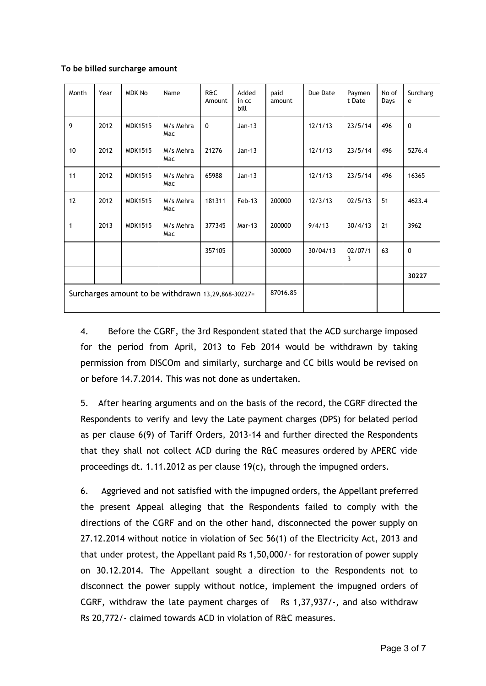#### **To be billed surcharge amount**

| Month                                              | Year | <b>MDK No</b>  | Name             | R&C<br>Amount | Added<br>in cc<br>bill | paid<br>amount | Due Date | Paymen<br>t Date | No of<br>Days | Surcharg<br>e |
|----------------------------------------------------|------|----------------|------------------|---------------|------------------------|----------------|----------|------------------|---------------|---------------|
| 9                                                  | 2012 | <b>MDK1515</b> | M/s Mehra<br>Mac | $\mathbf 0$   | $Jan-13$               |                | 12/1/13  | 23/5/14          | 496           | $\mathbf 0$   |
| 10 <sup>1</sup>                                    | 2012 | <b>MDK1515</b> | M/s Mehra<br>Mac | 21276         | $Jan-13$               |                | 12/1/13  | 23/5/14          | 496           | 5276.4        |
| 11                                                 | 2012 | <b>MDK1515</b> | M/s Mehra<br>Mac | 65988         | $Jan-13$               |                | 12/1/13  | 23/5/14          | 496           | 16365         |
| 12                                                 | 2012 | <b>MDK1515</b> | M/s Mehra<br>Mac | 181311        | $Feb-13$               | 200000         | 12/3/13  | 02/5/13          | 51            | 4623.4        |
| $\mathbf{1}$                                       | 2013 | <b>MDK1515</b> | M/s Mehra<br>Mac | 377345        | Mar-13                 | 200000         | 9/4/13   | 30/4/13          | 21            | 3962          |
|                                                    |      |                |                  | 357105        |                        | 300000         | 30/04/13 | 02/07/1<br>3     | 63            | $\mathbf 0$   |
|                                                    |      |                |                  |               |                        |                |          |                  |               | 30227         |
| Surcharges amount to be withdrawn 13,29,868-30227= |      |                |                  |               | 87016.85               |                |          |                  |               |               |

4. Before the CGRF, the 3rd Respondent stated that the ACD surcharge imposed for the period from April, 2013 to Feb 2014 would be withdrawn by taking permission from DISCOm and similarly, surcharge and CC bills would be revised on or before 14.7.2014. This was not done as undertaken.

5. After hearing arguments and on the basis of the record, the CGRF directed the Respondents to verify and levy the Late payment charges (DPS) for belated period as per clause 6(9) of Tariff Orders, 2013-14 and further directed the Respondents that they shall not collect ACD during the R&C measures ordered by APERC vide proceedings dt. 1.11.2012 as per clause 19(c), through the impugned orders.

6. Aggrieved and not satisfied with the impugned orders, the Appellant preferred the present Appeal alleging that the Respondents failed to comply with the directions of the CGRF and on the other hand, disconnected the power supply on 27.12.2014 without notice in violation of Sec 56(1) of the Electricity Act, 2013 and that under protest, the Appellant paid Rs 1,50,000/- for restoration of power supply on 30.12.2014. The Appellant sought a direction to the Respondents not to disconnect the power supply without notice, implement the impugned orders of CGRF, withdraw the late payment charges of Rs 1,37,937/-, and also withdraw Rs 20,772/- claimed towards ACD in violation of R&C measures.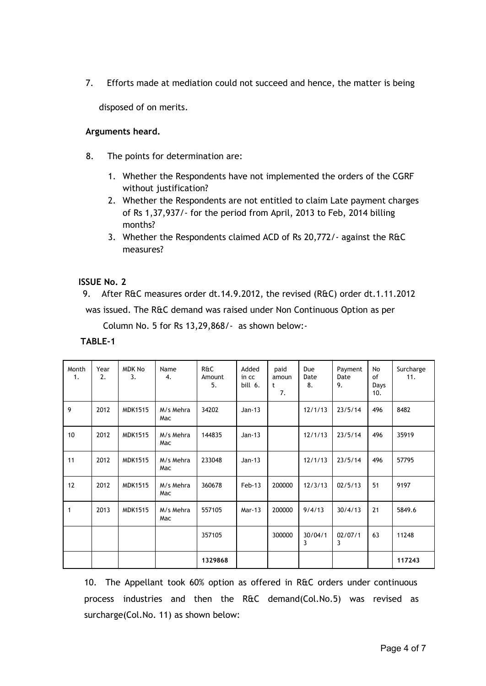7. Efforts made at mediation could not succeed and hence, the matter is being

disposed of on merits.

## **Arguments heard.**

- 8. The points for determination are:
	- 1. Whether the Respondents have not implemented the orders of the CGRF without justification?
	- 2. Whether the Respondents are not entitled to claim Late payment charges of Rs 1,37,937/- for the period from April, 2013 to Feb, 2014 billing months?
	- 3. Whether the Respondents claimed ACD of Rs 20,772/- against the R&C measures?

## **ISSUE No. 2**

9. After R&C measures order dt.14.9.2012, the revised (R&C) order dt.1.11.2012 was issued. The R&C demand was raised under Non Continuous Option as per

Column No. 5 for Rs 13,29,868/- as shown below:-

## **TABLE-1**

| Month<br>1. | Year<br>2. | <b>MDK No</b><br>3. | Name<br>4.       | <b>R&amp;C</b><br>Amount<br>5. | Added<br>in cc<br>bill 6. | paid<br>amoun<br>t<br>7. | Due<br>Date<br>8. | Payment<br>Date<br>9. | No<br>of<br>Days<br>10. | Surcharge<br>11. |
|-------------|------------|---------------------|------------------|--------------------------------|---------------------------|--------------------------|-------------------|-----------------------|-------------------------|------------------|
| 9           | 2012       | <b>MDK1515</b>      | M/s Mehra<br>Mac | 34202                          | $Jan-13$                  |                          | 12/1/13           | 23/5/14               | 496                     | 8482             |
| 10          | 2012       | <b>MDK1515</b>      | M/s Mehra<br>Mac | 144835                         | $Jan-13$                  |                          | 12/1/13           | 23/5/14               | 496                     | 35919            |
| 11          | 2012       | <b>MDK1515</b>      | M/s Mehra<br>Mac | 233048                         | $Jan-13$                  |                          | 12/1/13           | 23/5/14               | 496                     | 57795            |
| 12          | 2012       | <b>MDK1515</b>      | M/s Mehra<br>Mac | 360678                         | $Feb-13$                  | 200000                   | 12/3/13           | 02/5/13               | 51                      | 9197             |
| 1           | 2013       | <b>MDK1515</b>      | M/s Mehra<br>Mac | 557105                         | Mar-13                    | 200000                   | 9/4/13            | 30/4/13               | 21                      | 5849.6           |
|             |            |                     |                  | 357105                         |                           | 300000                   | 30/04/1<br>3      | 02/07/1<br>3          | 63                      | 11248            |
|             |            |                     |                  | 1329868                        |                           |                          |                   |                       |                         | 117243           |

10. The Appellant took 60% option as offered in R&C orders under continuous process industries and then the R&C demand(Col.No.5) was revised as surcharge(Col.No. 11) as shown below: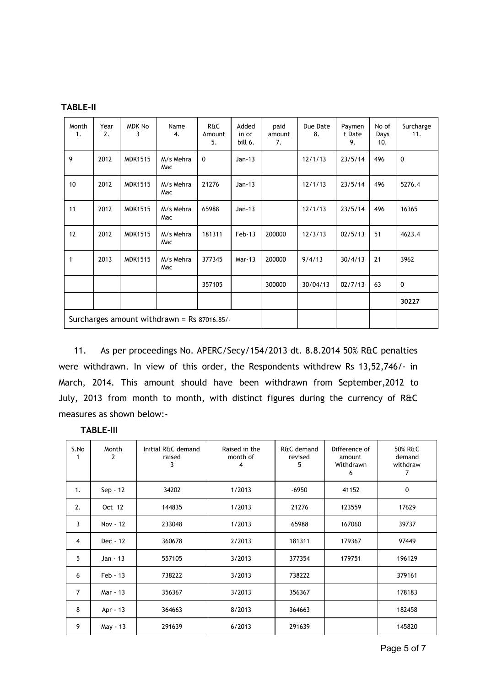| ABLE-II <sup>.</sup> |  |
|----------------------|--|
|----------------------|--|

| Month<br>1.  | Year<br>2.                                  | <b>MDK No</b><br>3 | Name<br>4.       | <b>R&amp;C</b><br>Amount<br>5. | Added<br>in cc<br>bill 6. | paid<br>amount<br>7. | Due Date<br>8. | Paymen<br>t Date<br>9. | No of<br>Days<br>10. | Surcharge<br>11. |
|--------------|---------------------------------------------|--------------------|------------------|--------------------------------|---------------------------|----------------------|----------------|------------------------|----------------------|------------------|
| 9            | 2012                                        | <b>MDK1515</b>     | M/s Mehra<br>Mac | $\mathbf 0$                    | $Jan-13$                  |                      | 12/1/13        | 23/5/14                | 496                  | $\mathbf 0$      |
| 10           | 2012                                        | <b>MDK1515</b>     | M/s Mehra<br>Mac | 21276                          | $Jan-13$                  |                      | 12/1/13        | 23/5/14                | 496                  | 5276.4           |
| 11           | 2012                                        | <b>MDK1515</b>     | M/s Mehra<br>Mac | 65988                          | $Jan-13$                  |                      | 12/1/13        | 23/5/14                | 496                  | 16365            |
| 12           | 2012                                        | <b>MDK1515</b>     | M/s Mehra<br>Mac | 181311                         | $Feb-13$                  | 200000               | 12/3/13        | 02/5/13                | 51                   | 4623.4           |
| $\mathbf{1}$ | 2013                                        | <b>MDK1515</b>     | M/s Mehra<br>Mac | 377345                         | Mar-13                    | 200000               | 9/4/13         | 30/4/13                | 21                   | 3962             |
|              |                                             |                    |                  | 357105                         |                           | 300000               | 30/04/13       | 02/7/13                | 63                   | $\mathbf 0$      |
|              |                                             |                    |                  |                                |                           |                      |                |                        |                      | 30227            |
|              | Surcharges amount withdrawn = Rs 87016.85/- |                    |                  |                                |                           |                      |                |                        |                      |                  |

11. As per proceedings No. APERC/Secy/154/2013 dt. 8.8.2014 50% R&C penalties were withdrawn. In view of this order, the Respondents withdrew Rs 13,52,746/- in March, 2014. This amount should have been withdrawn from September,2012 to July, 2013 from month to month, with distinct figures during the currency of R&C measures as shown below:-

| S.No<br>1      | Month<br>2 | Initial R&C demand<br>raised<br>3 | Raised in the<br>month of<br>4 | R&C demand<br>revised<br>5 | Difference of<br>amount<br>Withdrawn<br>6 | 50% R&C<br>demand<br>withdraw<br>7 |
|----------------|------------|-----------------------------------|--------------------------------|----------------------------|-------------------------------------------|------------------------------------|
| 1.             | $Sep - 12$ | 34202                             | 1/2013                         | $-6950$                    | 41152                                     | 0                                  |
| 2.             | Oct 12     | 144835                            | 1/2013                         | 21276                      | 123559                                    | 17629                              |
| 3              | Nov - 12   | 233048                            | 1/2013                         | 65988                      | 167060                                    | 39737                              |
| 4              | Dec - 12   | 360678                            | 2/2013                         | 181311                     | 179367                                    | 97449                              |
| 5              | Jan - 13   | 557105                            | 3/2013                         | 377354                     | 179751                                    | 196129                             |
| 6              | $Feb - 13$ | 738222                            | 3/2013                         | 738222                     |                                           | 379161                             |
| $\overline{7}$ | Mar - 13   | 356367                            | 3/2013                         | 356367                     |                                           | 178183                             |
| 8              | Apr - 13   | 364663                            | 8/2013                         | 364663                     |                                           | 182458                             |
| 9              | May - 13   | 291639                            | 6/2013                         | 291639                     |                                           | 145820                             |

|  | ABLE-<br>-111 |
|--|---------------|
|--|---------------|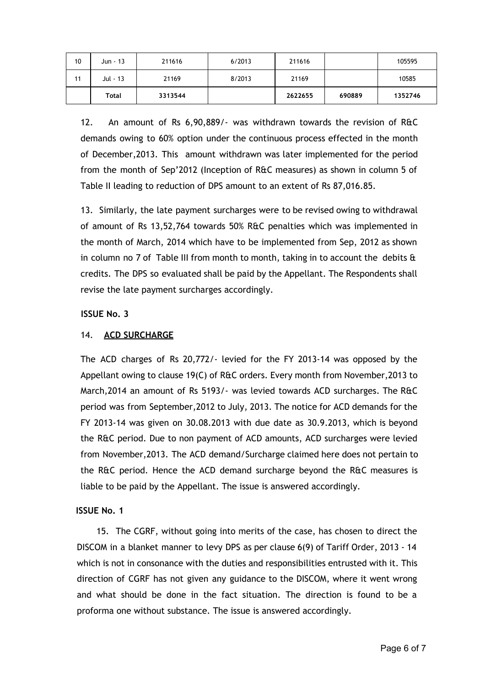| 10 | Jun - 13 | 211616  | 6/2013 | 211616  |        | 105595  |
|----|----------|---------|--------|---------|--------|---------|
| 11 | Jul - 13 | 21169   | 8/2013 | 21169   |        | 10585   |
|    | Total    | 3313544 |        | 2622655 | 690889 | 1352746 |

12. An amount of Rs 6,90,889/- was withdrawn towards the revision of R&C demands owing to 60% option under the continuous process effected in the month of December,2013. This amount withdrawn was later implemented for the period from the month of Sep'2012 (Inception of R&C measures) as shown in column 5 of Table II leading to reduction of DPS amount to an extent of Rs 87,016.85.

13. Similarly, the late payment surcharges were to be revised owing to withdrawal of amount of Rs 13,52,764 towards 50% R&C penalties which was implemented in the month of March, 2014 which have to be implemented from Sep, 2012 as shown in column no 7 of Table III from month to month, taking in to account the debits  $\hat{a}$ credits. The DPS so evaluated shall be paid by the Appellant. The Respondents shall revise the late payment surcharges accordingly.

## **ISSUE No. 3**

## 14. **ACD SURCHARGE**

The ACD charges of Rs 20,772/- levied for the FY 2013-14 was opposed by the Appellant owing to clause 19(C) of R&C orders. Every month from November,2013 to March,2014 an amount of Rs 5193/- was levied towards ACD surcharges. The R&C period was from September,2012 to July, 2013. The notice for ACD demands for the FY 2013-14 was given on 30.08.2013 with due date as 30.9.2013, which is beyond the R&C period. Due to non payment of ACD amounts, ACD surcharges were levied from November,2013. The ACD demand/Surcharge claimed here does not pertain to the R&C period. Hence the ACD demand surcharge beyond the R&C measures is liable to be paid by the Appellant. The issue is answered accordingly.

## **ISSUE No. 1**

15. The CGRF, without going into merits of the case, has chosen to direct the DISCOM in a blanket manner to levy DPS as per clause 6(9) of Tariff Order, 2013 - 14 which is not in consonance with the duties and responsibilities entrusted with it. This direction of CGRF has not given any guidance to the DISCOM, where it went wrong and what should be done in the fact situation. The direction is found to be a proforma one without substance. The issue is answered accordingly.